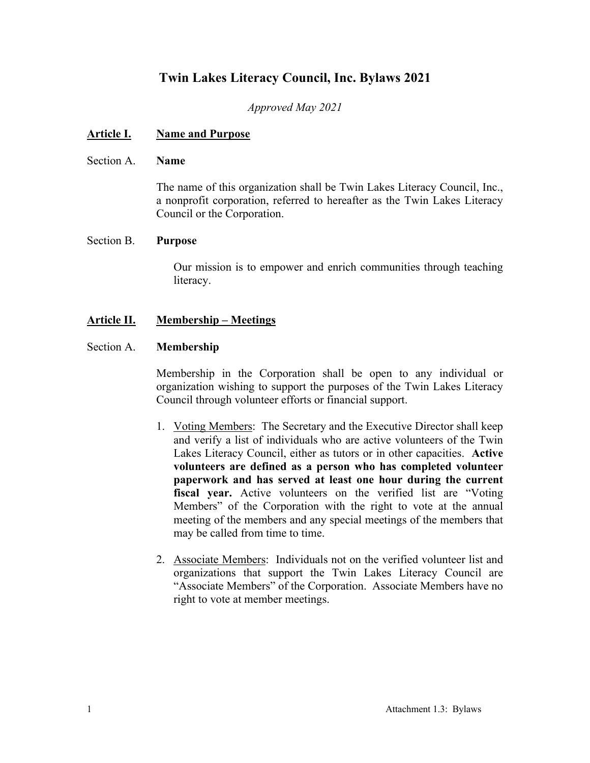# **Twin Lakes Literacy Council, Inc. Bylaws 2021**

*Approved May 2021*

## **Article I. Name and Purpose**

#### Section A. **Name**

The name of this organization shall be Twin Lakes Literacy Council, Inc., a nonprofit corporation, referred to hereafter as the Twin Lakes Literacy Council or the Corporation.

#### Section B. **Purpose**

Our mission is to empower and enrich communities through teaching literacy.

## **Article II. Membership – Meetings**

#### Section A. **Membership**

Membership in the Corporation shall be open to any individual or organization wishing to support the purposes of the Twin Lakes Literacy Council through volunteer efforts or financial support.

- 1. Voting Members: The Secretary and the Executive Director shall keep and verify a list of individuals who are active volunteers of the Twin Lakes Literacy Council, either as tutors or in other capacities. **Active volunteers are defined as a person who has completed volunteer paperwork and has served at least one hour during the current fiscal year.** Active volunteers on the verified list are "Voting Members" of the Corporation with the right to vote at the annual meeting of the members and any special meetings of the members that may be called from time to time.
- 2. Associate Members: Individuals not on the verified volunteer list and organizations that support the Twin Lakes Literacy Council are "Associate Members" of the Corporation. Associate Members have no right to vote at member meetings.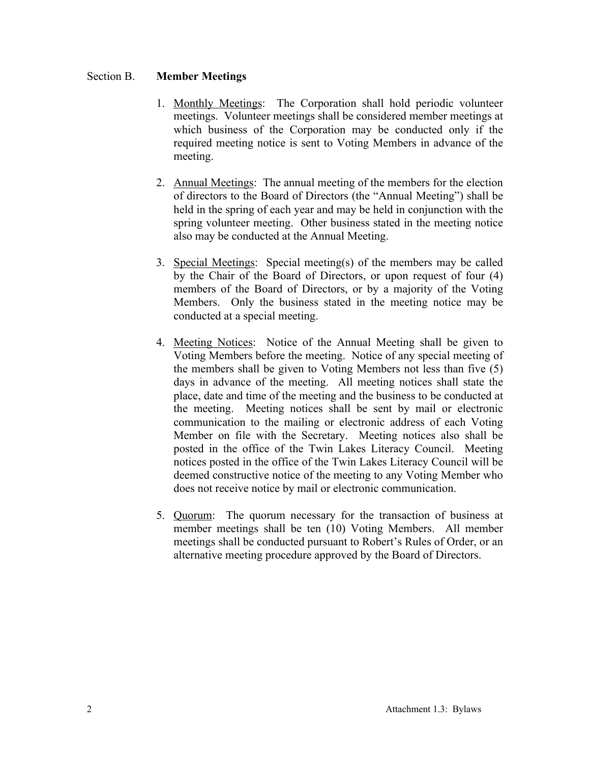### Section B. **Member Meetings**

- 1. Monthly Meetings: The Corporation shall hold periodic volunteer meetings. Volunteer meetings shall be considered member meetings at which business of the Corporation may be conducted only if the required meeting notice is sent to Voting Members in advance of the meeting.
- 2. Annual Meetings: The annual meeting of the members for the election of directors to the Board of Directors (the "Annual Meeting") shall be held in the spring of each year and may be held in conjunction with the spring volunteer meeting. Other business stated in the meeting notice also may be conducted at the Annual Meeting.
- 3. Special Meetings: Special meeting(s) of the members may be called by the Chair of the Board of Directors, or upon request of four (4) members of the Board of Directors, or by a majority of the Voting Members. Only the business stated in the meeting notice may be conducted at a special meeting.
- 4. Meeting Notices: Notice of the Annual Meeting shall be given to Voting Members before the meeting. Notice of any special meeting of the members shall be given to Voting Members not less than five (5) days in advance of the meeting. All meeting notices shall state the place, date and time of the meeting and the business to be conducted at the meeting. Meeting notices shall be sent by mail or electronic communication to the mailing or electronic address of each Voting Member on file with the Secretary. Meeting notices also shall be posted in the office of the Twin Lakes Literacy Council. Meeting notices posted in the office of the Twin Lakes Literacy Council will be deemed constructive notice of the meeting to any Voting Member who does not receive notice by mail or electronic communication.
- 5. Quorum: The quorum necessary for the transaction of business at member meetings shall be ten (10) Voting Members. All member meetings shall be conducted pursuant to Robert's Rules of Order, or an alternative meeting procedure approved by the Board of Directors.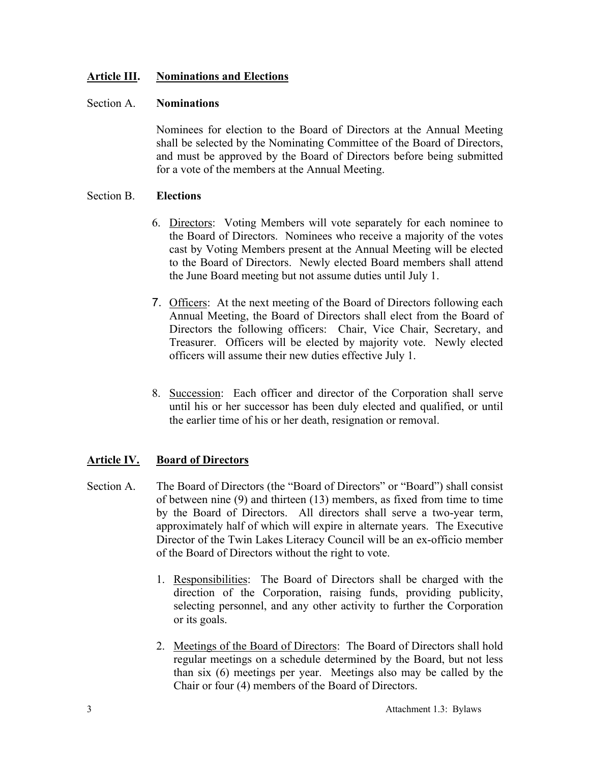## **Article III. Nominations and Elections**

#### Section A. **Nominations**

Nominees for election to the Board of Directors at the Annual Meeting shall be selected by the Nominating Committee of the Board of Directors, and must be approved by the Board of Directors before being submitted for a vote of the members at the Annual Meeting.

#### Section B. **Elections**

- 6. Directors: Voting Members will vote separately for each nominee to the Board of Directors. Nominees who receive a majority of the votes cast by Voting Members present at the Annual Meeting will be elected to the Board of Directors. Newly elected Board members shall attend the June Board meeting but not assume duties until July 1.
- 7. Officers: At the next meeting of the Board of Directors following each Annual Meeting, the Board of Directors shall elect from the Board of Directors the following officers: Chair, Vice Chair, Secretary, and Treasurer. Officers will be elected by majority vote. Newly elected officers will assume their new duties effective July 1.
- 8. Succession: Each officer and director of the Corporation shall serve until his or her successor has been duly elected and qualified, or until the earlier time of his or her death, resignation or removal.

# **Article IV. Board of Directors**

- Section A. The Board of Directors (the "Board of Directors" or "Board") shall consist of between nine (9) and thirteen (13) members, as fixed from time to time by the Board of Directors. All directors shall serve a two-year term, approximately half of which will expire in alternate years. The Executive Director of the Twin Lakes Literacy Council will be an ex-officio member of the Board of Directors without the right to vote.
	- 1. Responsibilities: The Board of Directors shall be charged with the direction of the Corporation, raising funds, providing publicity, selecting personnel, and any other activity to further the Corporation or its goals.
	- 2. Meetings of the Board of Directors: The Board of Directors shall hold regular meetings on a schedule determined by the Board, but not less than six (6) meetings per year. Meetings also may be called by the Chair or four (4) members of the Board of Directors.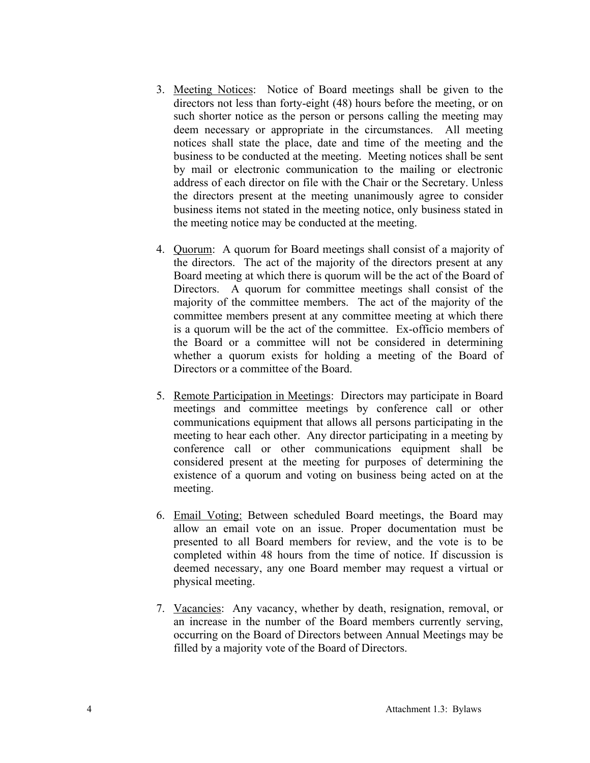- 3. Meeting Notices: Notice of Board meetings shall be given to the directors not less than forty-eight (48) hours before the meeting, or on such shorter notice as the person or persons calling the meeting may deem necessary or appropriate in the circumstances. All meeting notices shall state the place, date and time of the meeting and the business to be conducted at the meeting. Meeting notices shall be sent by mail or electronic communication to the mailing or electronic address of each director on file with the Chair or the Secretary. Unless the directors present at the meeting unanimously agree to consider business items not stated in the meeting notice, only business stated in the meeting notice may be conducted at the meeting.
- 4. Quorum: A quorum for Board meetings shall consist of a majority of the directors. The act of the majority of the directors present at any Board meeting at which there is quorum will be the act of the Board of Directors. A quorum for committee meetings shall consist of the majority of the committee members. The act of the majority of the committee members present at any committee meeting at which there is a quorum will be the act of the committee. Ex-officio members of the Board or a committee will not be considered in determining whether a quorum exists for holding a meeting of the Board of Directors or a committee of the Board.
- 5. Remote Participation in Meetings: Directors may participate in Board meetings and committee meetings by conference call or other communications equipment that allows all persons participating in the meeting to hear each other. Any director participating in a meeting by conference call or other communications equipment shall be considered present at the meeting for purposes of determining the existence of a quorum and voting on business being acted on at the meeting.
- 6. Email Voting: Between scheduled Board meetings, the Board may allow an email vote on an issue. Proper documentation must be presented to all Board members for review, and the vote is to be completed within 48 hours from the time of notice. If discussion is deemed necessary, any one Board member may request a virtual or physical meeting.
- 7. Vacancies: Any vacancy, whether by death, resignation, removal, or an increase in the number of the Board members currently serving, occurring on the Board of Directors between Annual Meetings may be filled by a majority vote of the Board of Directors.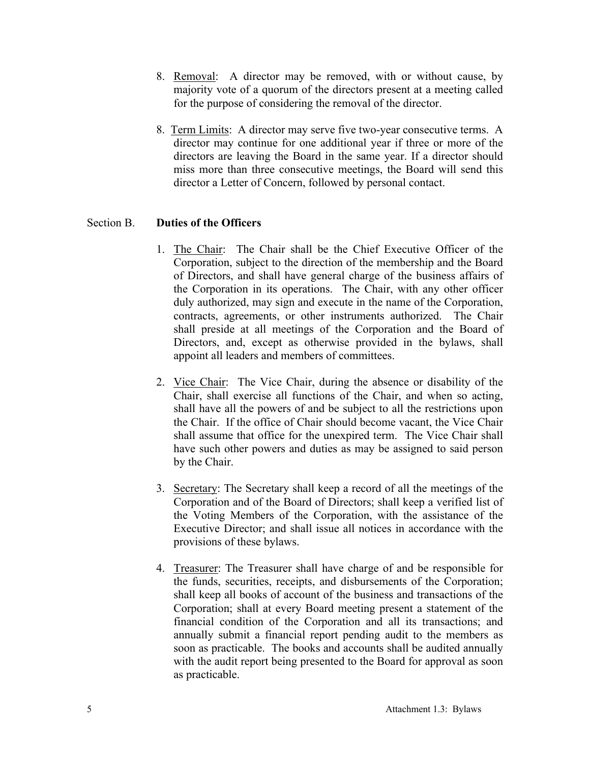- 8. Removal: A director may be removed, with or without cause, by majority vote of a quorum of the directors present at a meeting called for the purpose of considering the removal of the director.
- 8. Term Limits: A director may serve five two-year consecutive terms. A director may continue for one additional year if three or more of the directors are leaving the Board in the same year. If a director should miss more than three consecutive meetings, the Board will send this director a Letter of Concern, followed by personal contact.

## Section B. **Duties of the Officers**

- 1. The Chair: The Chair shall be the Chief Executive Officer of the Corporation, subject to the direction of the membership and the Board of Directors, and shall have general charge of the business affairs of the Corporation in its operations. The Chair, with any other officer duly authorized, may sign and execute in the name of the Corporation, contracts, agreements, or other instruments authorized. The Chair shall preside at all meetings of the Corporation and the Board of Directors, and, except as otherwise provided in the bylaws, shall appoint all leaders and members of committees.
- 2. Vice Chair: The Vice Chair, during the absence or disability of the Chair, shall exercise all functions of the Chair, and when so acting, shall have all the powers of and be subject to all the restrictions upon the Chair. If the office of Chair should become vacant, the Vice Chair shall assume that office for the unexpired term. The Vice Chair shall have such other powers and duties as may be assigned to said person by the Chair.
- 3. Secretary: The Secretary shall keep a record of all the meetings of the Corporation and of the Board of Directors; shall keep a verified list of the Voting Members of the Corporation, with the assistance of the Executive Director; and shall issue all notices in accordance with the provisions of these bylaws.
- 4. Treasurer: The Treasurer shall have charge of and be responsible for the funds, securities, receipts, and disbursements of the Corporation; shall keep all books of account of the business and transactions of the Corporation; shall at every Board meeting present a statement of the financial condition of the Corporation and all its transactions; and annually submit a financial report pending audit to the members as soon as practicable. The books and accounts shall be audited annually with the audit report being presented to the Board for approval as soon as practicable.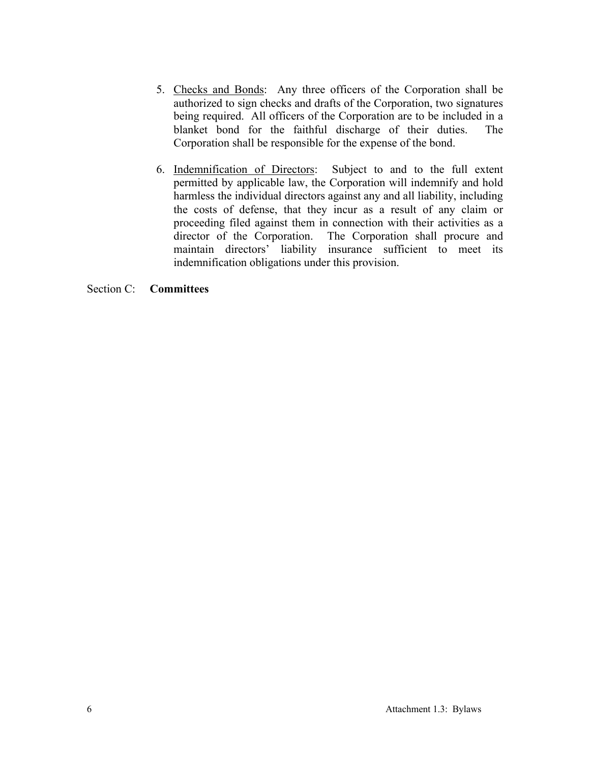- 5. Checks and Bonds: Any three officers of the Corporation shall be authorized to sign checks and drafts of the Corporation, two signatures being required. All officers of the Corporation are to be included in a blanket bond for the faithful discharge of their duties. The Corporation shall be responsible for the expense of the bond.
- 6. Indemnification of Directors: Subject to and to the full extent permitted by applicable law, the Corporation will indemnify and hold harmless the individual directors against any and all liability, including the costs of defense, that they incur as a result of any claim or proceeding filed against them in connection with their activities as a director of the Corporation. The Corporation shall procure and maintain directors' liability insurance sufficient to meet its indemnification obligations under this provision.

#### Section C: **Committees**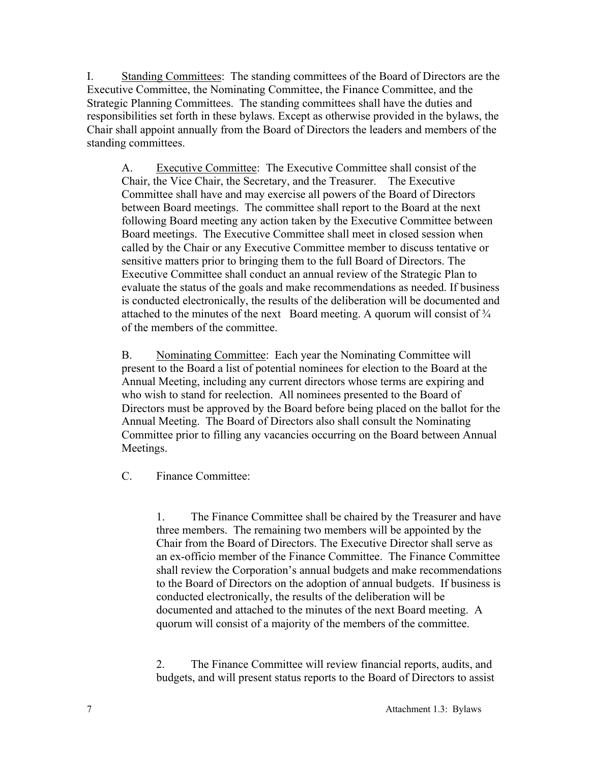I. Standing Committees: The standing committees of the Board of Directors are the Executive Committee, the Nominating Committee, the Finance Committee, and the Strategic Planning Committees. The standing committees shall have the duties and responsibilities set forth in these bylaws. Except as otherwise provided in the bylaws, the Chair shall appoint annually from the Board of Directors the leaders and members of the standing committees.

A. Executive Committee: The Executive Committee shall consist of the Chair, the Vice Chair, the Secretary, and the Treasurer. The Executive Committee shall have and may exercise all powers of the Board of Directors between Board meetings. The committee shall report to the Board at the next following Board meeting any action taken by the Executive Committee between Board meetings. The Executive Committee shall meet in closed session when called by the Chair or any Executive Committee member to discuss tentative or sensitive matters prior to bringing them to the full Board of Directors. The Executive Committee shall conduct an annual review of the Strategic Plan to evaluate the status of the goals and make recommendations as needed. If business is conducted electronically, the results of the deliberation will be documented and attached to the minutes of the next Board meeting. A quorum will consist of ¾ of the members of the committee.

B. Nominating Committee: Each year the Nominating Committee will present to the Board a list of potential nominees for election to the Board at the Annual Meeting, including any current directors whose terms are expiring and who wish to stand for reelection. All nominees presented to the Board of Directors must be approved by the Board before being placed on the ballot for the Annual Meeting. The Board of Directors also shall consult the Nominating Committee prior to filling any vacancies occurring on the Board between Annual Meetings.

C. Finance Committee:

1. The Finance Committee shall be chaired by the Treasurer and have three members. The remaining two members will be appointed by the Chair from the Board of Directors. The Executive Director shall serve as an ex-officio member of the Finance Committee. The Finance Committee shall review the Corporation's annual budgets and make recommendations to the Board of Directors on the adoption of annual budgets. If business is conducted electronically, the results of the deliberation will be documented and attached to the minutes of the next Board meeting. A quorum will consist of a majority of the members of the committee.

2. The Finance Committee will review financial reports, audits, and budgets, and will present status reports to the Board of Directors to assist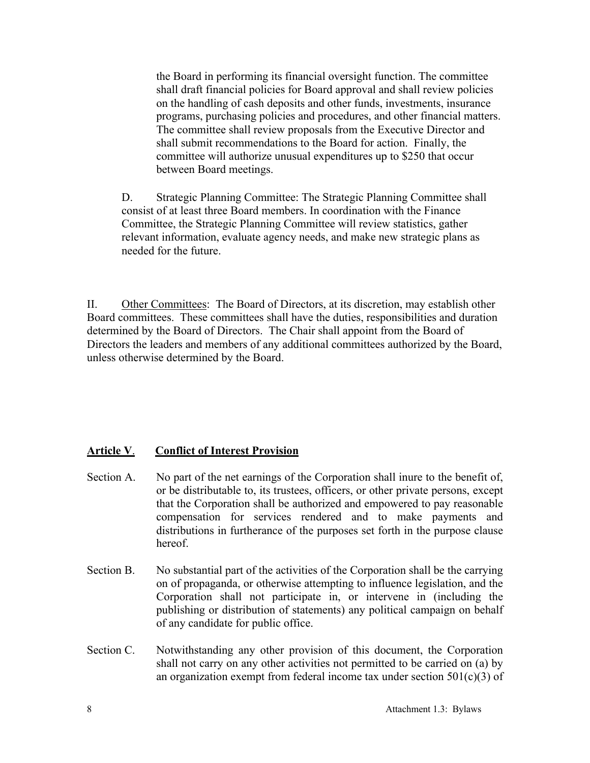the Board in performing its financial oversight function. The committee shall draft financial policies for Board approval and shall review policies on the handling of cash deposits and other funds, investments, insurance programs, purchasing policies and procedures, and other financial matters. The committee shall review proposals from the Executive Director and shall submit recommendations to the Board for action. Finally, the committee will authorize unusual expenditures up to \$250 that occur between Board meetings.

D. Strategic Planning Committee: The Strategic Planning Committee shall consist of at least three Board members. In coordination with the Finance Committee, the Strategic Planning Committee will review statistics, gather relevant information, evaluate agency needs, and make new strategic plans as needed for the future.

II. Other Committees: The Board of Directors, at its discretion, may establish other Board committees. These committees shall have the duties, responsibilities and duration determined by the Board of Directors. The Chair shall appoint from the Board of Directors the leaders and members of any additional committees authorized by the Board, unless otherwise determined by the Board.

# **Article V**. **Conflict of Interest Provision**

- Section A. No part of the net earnings of the Corporation shall inure to the benefit of, or be distributable to, its trustees, officers, or other private persons, except that the Corporation shall be authorized and empowered to pay reasonable compensation for services rendered and to make payments and distributions in furtherance of the purposes set forth in the purpose clause hereof.
- Section B. No substantial part of the activities of the Corporation shall be the carrying on of propaganda, or otherwise attempting to influence legislation, and the Corporation shall not participate in, or intervene in (including the publishing or distribution of statements) any political campaign on behalf of any candidate for public office.
- Section C. Notwithstanding any other provision of this document, the Corporation shall not carry on any other activities not permitted to be carried on (a) by an organization exempt from federal income tax under section  $501(c)(3)$  of